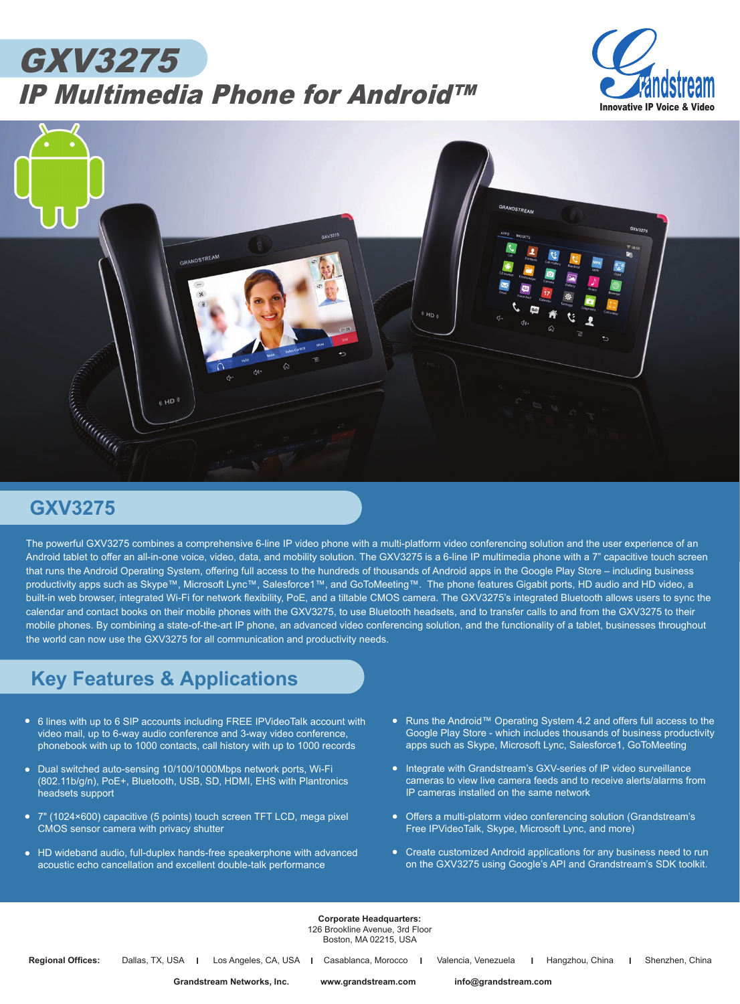## GXV3275 IP Multimedia Phone for Android™





## **GXV3275**

The powerful GXV3275 combines a comprehensive 6-line IP video phone with a multi-platform video conferencing solution and the user experience of an Android tablet to offer an all-in-one voice, video, data, and mobility solution. The GXV3275 is a 6-line IP multimedia phone with a 7" capacitive touch screen that runs the Android Operating System, offering full access to the hundreds of thousands of Android apps in the Google Play Store – including business productivity apps such as Skype™, Microsoft Lync™, Salesforce1™, and GoToMeeting™. The phone features Gigabit ports, HD audio and HD video, a built-in web browser, integrated Wi-Fi for network flexibility, PoE, and a tiltable CMOS camera. The GXV3275's integrated Bluetooth allows users to sync the calendar and contact books on their mobile phones with the GXV3275, to use Bluetooth headsets, and to transfer calls to and from the GXV3275 to their mobile phones. By combining a state-of-the-art IP phone, an advanced video conferencing solution, and the functionality of a tablet, businesses throughout the world can now use the GXV3275 for all communication and productivity needs.

## **Key Features & Applications**

- 6 lines with up to 6 SIP accounts including FREE IPVideoTalk account with video mail, up to 6-way audio conference and 3-way video conference, phonebook with up to 1000 contacts, call history with up to 1000 records
- *• •* Dual switched auto-sensing 10/100/1000Mbps network ports, Wi-Fi (802.11b/g/n), PoE+, Bluetooth, USB, SD, HDMI, EHS with Plantronics headsets support
- *•* 7" (1024×600) capacitive (5 points) touch screen TFT LCD, mega pixel CMOS sensor camera with privacy shutter
- *•* HD wideband audio, full-duplex hands-free speakerphone with advanced acoustic echo cancellation and excellent double-talk performance
- Runs the Android™ Operating System 4.2 and offers full access to the *•*Google Play Store - which includes thousands of business productivity apps such as Skype, Microsoft Lync, Salesforce1, GoToMeeting
- Integrate with Grandstream's GXV-series of IP video surveillance cameras to view live camera feeds and to receive alerts/alarms from IP cameras installed on the same network
- *•* Offers a multi-platorm video conferencing solution (Grandstream's Free IPVideoTalk, Skype, Microsoft Lync, and more)
- Create customized Android applications for any business need to run<br>
and the contract of the contract of the contract of the contract of the contract of the contract of the contract of the contract of the contract of the on the GXV3275 using Google's API and Grandstream's SDK toolkit.

**Corporate Headquarters:** 126 Brookline Avenue, 3rd Floor Boston, MA 02215, USA